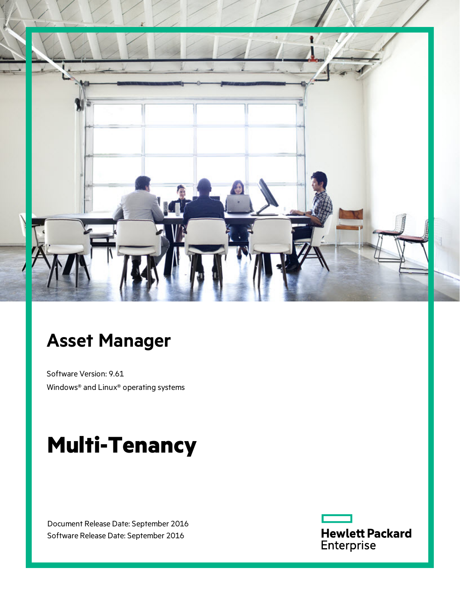

# **Asset Manager**

Software Version: 9.61 Windows® and Linux® operating systems

# **Multi-Tenancy**

Document Release Date: September 2016 Software Release Date: September 2016

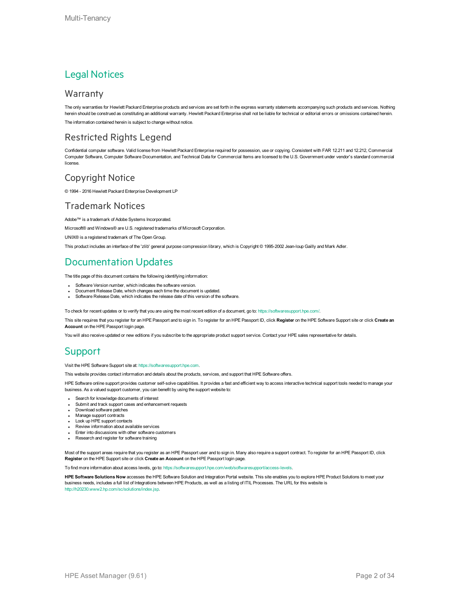#### Legal Notices

#### **Warranty**

The only warranties for Hewlett Packard Enterprise products and services are set forth in the express warranty statements accompanying such products and services. Nothing herein should be construed as constituting an additional warranty. Hewlett Packard Enterprise shall not be liable for technical or editorial errors or omissions contained herein. The information contained herein is subject to change without notice.

#### Restricted Rights Legend

Confidential computer software. Valid license from Hewlett Packard Enterprise required for possession, use or copying. Consistent with FAR 12.211 and 12.212, Commercial Computer Software, Computer Software Documentation, and Technical Data for Commercial Items are licensed to the U.S. Government under vendor's standard commercial license.

#### Copyright Notice

© 1994 - 2016 Hewlett Packard Enterprise Development LP

#### Trademark Notices

Adobe™ is a trademark of Adobe Systems Incorporated.

Microsoft® and Windows® are U.S. registered trademarks of Microsoft Corporation.

UNIX® is a registered trademark of The Open Group.

This product includes an interface of the 'zlib' general purpose compression library, which is Copyright © 1995-2002 Jean-loup Gailly and Mark Adler.

#### Documentation Updates

The title page of this document contains the following identifying information:

- Software Version number, which indicates the software version.
- Document Release Date, which changes each time the document is updated.
- Software Release Date, which indicates the release date of this version of the software.

To check for recent updates or to verify that you are using the most recent edition of a document, go to: <https://softwaresupport.hpe.com/>.

This site requires that you register for an HPE Passport and to sign in. To register for an HPE Passport ID, click **Register** on the HPE Software Support site or click **Create an Account** on the HPE Passport login page.

You will also receive updated or new editions if you subscribe to the appropriate product support service. Contact your HPE sales representative for details.

#### **Support**

Visit the HPE Software Support site at: [https://softwaresupport.hpe.com.](https://softwaresupport.hpe.com/)

This website provides contact information and details about the products, services, and support that HPE Software offers.

HPE Software online support provides customer self-solve capabilities. It provides a fast and efficient way to access interactive technical support tools needed to manage your business. As a valued support customer, you can benefit by using the support website to:

- Search for knowledge documents of interest
- Submit and track support cases and enhancement requests
- Download software patches
- Manage support contracts Look up HPE support contacts
- 
- Review information about available services Enter into discussions with other software customers
- Research and register for software training
- 

Most of the support areas require that you register as an HPE Passport user and to sign in. Many also require a support contract. To register for an HPE Passport ID, click **Register** on the HPE Support site or click **Create an Account** on the HPE Passport login page.

To find more information about access levels, go to: <https://softwaresupport.hpe.com/web/softwaresupport/access-levels>.

**HPE Software Solutions Now** accesses the HPE Software Solution and Integration Portal website. This site enables you to explore HPE Product Solutions to meet your business needs, includes a full list of Integrations between HPE Products, as well as a listing of ITIL Processes. The URL for this website is [http://h20230.www2.hp.com/sc/solutions/index.jsp.](http://h20230.www2.hp.com/sc/solutions/index.jsp)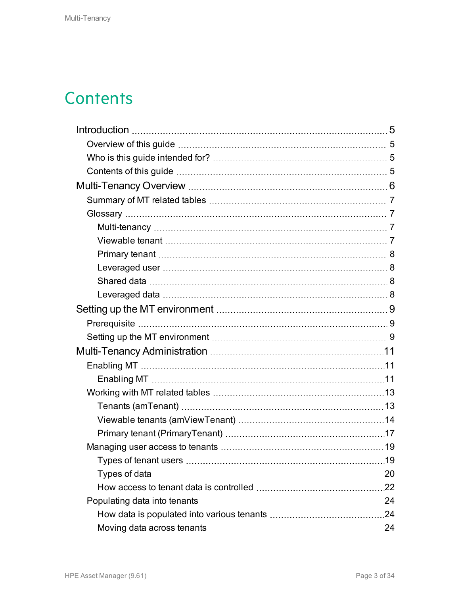# **Contents**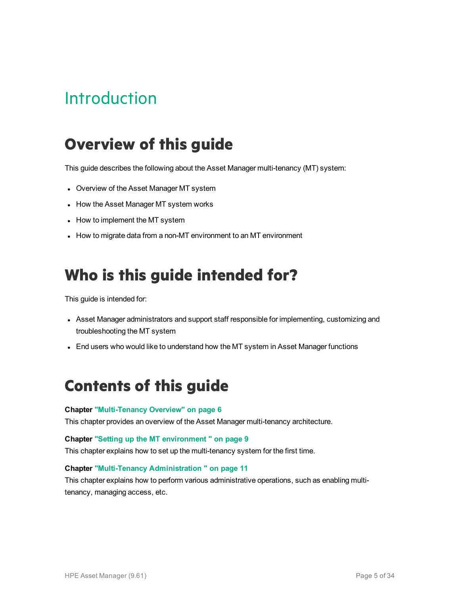# <span id="page-4-0"></span>**Introduction**

# <span id="page-4-1"></span>**Overview of this guide**

This guide describes the following about the Asset Manager multi-tenancy (MT) system:

- Overview of the Asset Manager MT system
- How the Asset Manager MT system works
- How to implement the MT system
- How to migrate data from a non-MT environment to an MT environment

# <span id="page-4-2"></span>**Who is this guide intended for?**

This guide is intended for:

- Asset Manager administrators and support staff responsible for implementing, customizing and troubleshooting the MT system
- End users who would like to understand how the MT system in Asset Manager functions

# <span id="page-4-3"></span>**Contents of this guide**

#### **Chapter ["Multi-Tenancy](#page-5-0) Overview" on page 6**

This chapter provides an overview of the Asset Manager multi-tenancy architecture.

#### **Chapter "Setting up the MT [environment](#page-8-0) " on page 9**

This chapter explains how to set up the multi-tenancy system for the first time.

#### **Chapter ["Multi-Tenancy](#page-10-0) Administration " on page 11**

This chapter explains how to perform various administrative operations, such as enabling multitenancy, managing access, etc.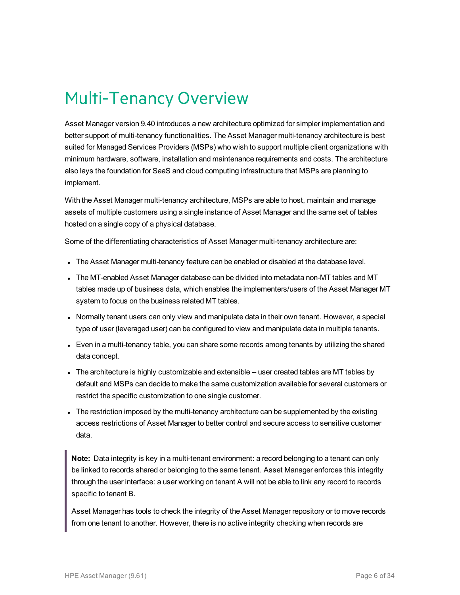# <span id="page-5-0"></span>Multi-Tenancy Overview

Asset Manager version 9.40 introduces a new architecture optimized for simpler implementation and better support of multi-tenancy functionalities. The Asset Manager multi-tenancy architecture is best suited for Managed Services Providers (MSPs) who wish to support multiple client organizations with minimum hardware, software, installation and maintenance requirements and costs. The architecture also lays the foundation for SaaS and cloud computing infrastructure that MSPs are planning to implement.

With the Asset Manager multi-tenancy architecture, MSPs are able to host, maintain and manage assets of multiple customers using a single instance of Asset Manager and the same set of tables hosted on a single copy of a physical database.

Some of the differentiating characteristics of Asset Manager multi-tenancy architecture are:

- The Asset Manager multi-tenancy feature can be enabled or disabled at the database level.
- The MT-enabled Asset Manager database can be divided into metadata non-MT tables and MT tables made up of business data, which enables the implementers/users of the Asset Manager MT system to focus on the business related MT tables.
- Normally tenant users can only view and manipulate data in their own tenant. However, a special type of user (leveraged user) can be configured to view and manipulate data in multiple tenants.
- Even in a multi-tenancy table, you can share some records among tenants by utilizing the shared data concept.
- The architecture is highly customizable and extensible -- user created tables are MT tables by default and MSPs can decide to make the same customization available for several customers or restrict the specific customization to one single customer.
- The restriction imposed by the multi-tenancy architecture can be supplemented by the existing access restrictions of Asset Manager to better control and secure access to sensitive customer data.

**Note:** Data integrity is key in a multi-tenant environment: a record belonging to a tenant can only be linked to records shared or belonging to the same tenant. Asset Manager enforces this integrity through the user interface: a user working on tenant A will not be able to link any record to records specific to tenant B.

Asset Manager has tools to check the integrity of the Asset Manager repository or to move records from one tenant to another. However, there is no active integrity checking when records are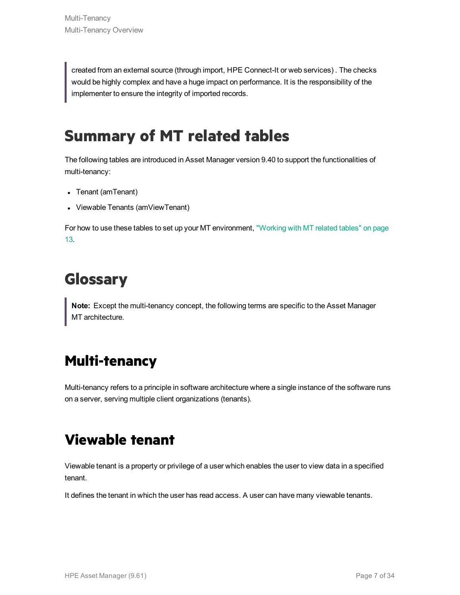created from an external source (through import, HPE Connect-It or web services) . The checks would be highly complex and have a huge impact on performance. It is the responsibility of the implementer to ensure the integrity of imported records.

# <span id="page-6-0"></span>**Summary of MT related tables**

The following tables are introduced in Asset Manager version 9.40 to support the functionalities of multi-tenancy:

- Tenant (amTenant)
- Viewable Tenants (amViewTenant)

For how to use these tables to set up your MT environment, ["Working](#page-12-0) with MT related tables" on page [13.](#page-12-0)

# <span id="page-6-1"></span>**Glossary**

<span id="page-6-2"></span>**Note:** Except the multi-tenancy concept, the following terms are specific to the Asset Manager MT architecture.

# **Multi-tenancy**

<span id="page-6-3"></span>Multi-tenancy refers to a principle in software architecture where a single instance of the software runs on a server, serving multiple client organizations (tenants).

## **Viewable tenant**

Viewable tenant is a property or privilege of a user which enables the user to view data in a specified tenant.

It defines the tenant in which the user has read access. A user can have many viewable tenants.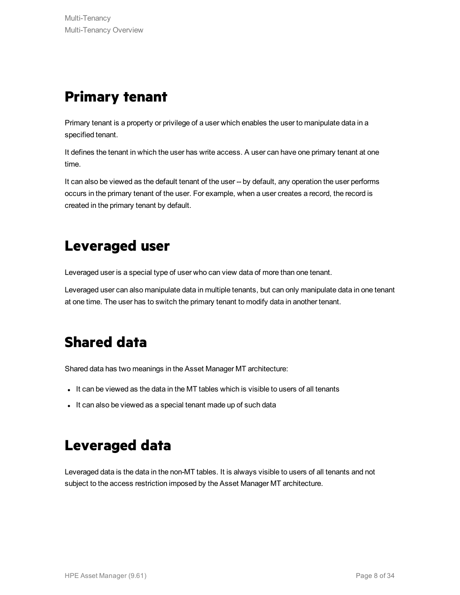## <span id="page-7-0"></span>**Primary tenant**

Primary tenant is a property or privilege of a user which enables the user to manipulate data in a specified tenant.

It defines the tenant in which the user has write access. A user can have one primary tenant at one time.

It can also be viewed as the default tenant of the user -- by default, any operation the user performs occurs in the primary tenant of the user. For example, when a user creates a record, the record is created in the primary tenant by default.

## <span id="page-7-1"></span>**Leveraged user**

Leveraged user is a special type of user who can view data of more than one tenant.

<span id="page-7-2"></span>Leveraged user can also manipulate data in multiple tenants, but can only manipulate data in one tenant at one time. The user has to switch the primary tenant to modify data in another tenant.

# **Shared data**

Shared data has two meanings in the Asset Manager MT architecture:

- It can be viewed as the data in the MT tables which is visible to users of all tenants
- <span id="page-7-3"></span>- It can also be viewed as a special tenant made up of such data

## **Leveraged data**

Leveraged data is the data in the non-MT tables. It is always visible to users of all tenants and not subject to the access restriction imposed by the Asset Manager MT architecture.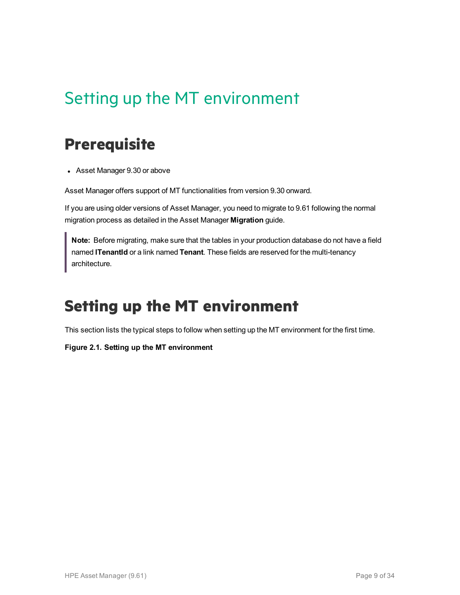# <span id="page-8-0"></span>Setting up the MT environment

## <span id="page-8-1"></span>**Prerequisite**

• Asset Manager 9.30 or above

Asset Manager offers support of MT functionalities from version 9.30 onward.

If you are using older versions of Asset Manager, you need to migrate to 9.61 following the normal migration process as detailed in the Asset Manager **Migration** guide.

**Note:** Before migrating, make sure that the tables in your production database do not have a field named **lTenantId** or a link named **Tenant**. These fields are reserved for the multi-tenancy architecture.

# <span id="page-8-2"></span>**Setting up the MT environment**

This section lists the typical steps to follow when setting up the MT environment for the first time.

#### **Figure 2.1. Setting up the MT environment**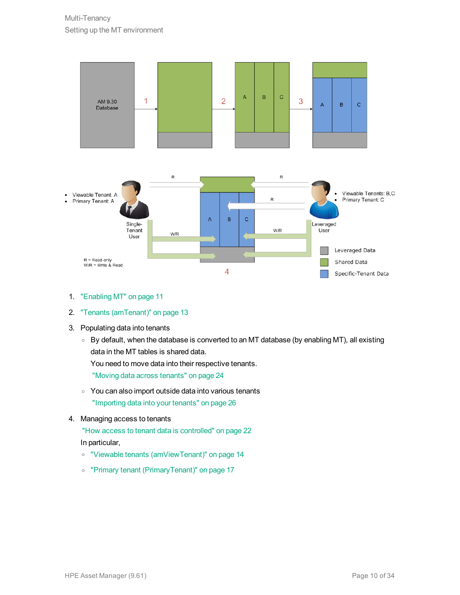

- 1. ["Enabling](#page-10-2) MT" on page 11
- 2. "Tenants [\(amTenant\)"](#page-12-1) on page 13
- 3. Populating data into tenants
	- <sup>o</sup> By default, when the database is converted to an MT database (by enabling MT), all existing data in the MT tables is shared data. You need to move data into their respective tenants.

"Moving data across [tenants"](#page-23-2) on page 24

- <sup>o</sup> You can also import outside data into various tenants ["Importing](#page-25-0) data into your tenants" on page 26
- 4. Managing access to tenants

"How access to tenant data is [controlled"](#page-21-0) on page 22 In particular,

- <sup>o</sup> "Viewable tenants [\(amViewTenant\)"](#page-13-0) on page 14
- <sup>o</sup> "Primary tenant [\(PrimaryTenant\)"](#page-16-0) on page 17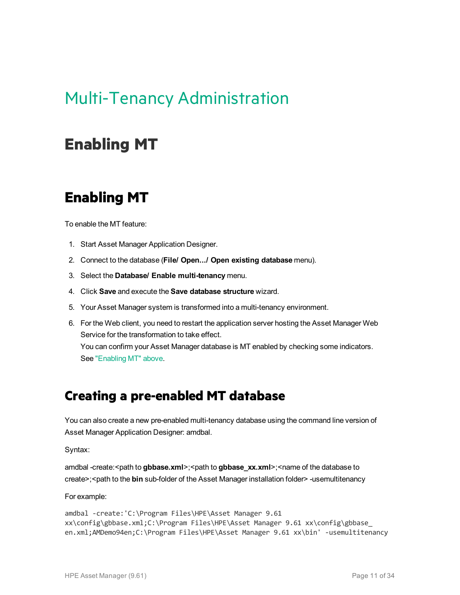# <span id="page-10-0"></span>Multi-Tenancy Administration

## <span id="page-10-2"></span><span id="page-10-1"></span>**Enabling MT**

### **Enabling MT**

To enable the MT feature:

- 1. Start Asset Manager Application Designer.
- 2. Connect to the database (**File/ Open.../ Open existing database** menu).
- 3. Select the **Database/ Enable multi-tenancy** menu.
- 4. Click **Save** and execute the **Save database structure** wizard.
- 5. Your Asset Manager system is transformed into a multi-tenancy environment.
- 6. For the Web client, you need to restart the application server hosting the Asset Manager Web Service for the transformation to take effect. You can confirm your Asset Manager database is MT enabled by checking some indicators. See ["Enabling](#page-10-2) MT" above.

### **Creating a pre-enabled MT database**

You can also create a new pre-enabled multi-tenancy database using the command line version of Asset Manager Application Designer: amdbal.

Syntax:

amdbal -create:<path to **gbbase.xml**>;<path to **gbbase\_xx.xml**>;<name of the database to create>;<path to the **bin** sub-folder of the Asset Manager installation folder> -usemultitenancy

For example:

```
amdbal -create:'C:\Program Files\HPE\Asset Manager 9.61
xx\config\gbbase.xml;C:\Program Files\HPE\Asset Manager 9.61 xx\config\gbbase_
en.xml;AMDemo94en;C:\Program Files\HPE\Asset Manager 9.61 xx\bin' -usemultitenancy
```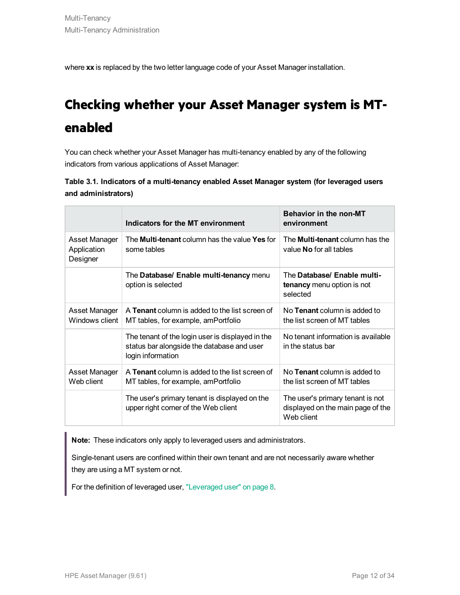where **xx** is replaced by the two letter language code of your Asset Manager installation.

# **Checking whether your Asset Manager system is MTenabled**

You can check whether your Asset Manager has multi-tenancy enabled by any of the following indicators from various applications of Asset Manager:

| Table 3.1. Indicators of a multi-tenancy enabled Asset Manager system (for leveraged users |  |  |  |
|--------------------------------------------------------------------------------------------|--|--|--|
| and administrators)                                                                        |  |  |  |

|                                          | Indicators for the MT environment                                                                                   | <b>Behavior in the non-MT</b><br>environment                                        |
|------------------------------------------|---------------------------------------------------------------------------------------------------------------------|-------------------------------------------------------------------------------------|
| Asset Manager<br>Application<br>Designer | The <b>Multi-tenant</b> column has the value <b>Yes</b> for<br>some tables                                          | The <b>Multi-tenant</b> column has the<br>value <b>No</b> for all tables            |
|                                          | The Database/ Enable multi-tenancy menu<br>option is selected                                                       | The Database/ Enable multi-<br>tenancy menu option is not<br>selected               |
| Asset Manager<br>Windows client          | A <b>Tenant</b> column is added to the list screen of<br>MT tables, for example, amPortfolio                        | No <b>Tenant</b> column is added to<br>the list screen of MT tables                 |
|                                          | The tenant of the login user is displayed in the<br>status bar alongside the database and user<br>login information | No tenant information is available<br>in the status bar                             |
| Asset Manager<br>Web client              | A Tenant column is added to the list screen of<br>MT tables, for example, amPortfolio                               | No Tenant column is added to<br>the list screen of MT tables                        |
|                                          | The user's primary tenant is displayed on the<br>upper right corner of the Web client                               | The user's primary tenant is not<br>displayed on the main page of the<br>Web client |

**Note:** These indicators only apply to leveraged users and administrators.

Single-tenant users are confined within their own tenant and are not necessarily aware whether they are using a MT system or not.

For the definition of leveraged user, ["Leveraged](#page-7-1) user" on page 8.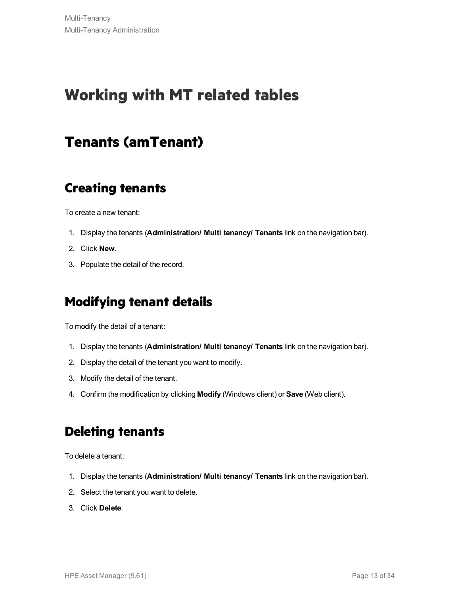# <span id="page-12-1"></span><span id="page-12-0"></span>**Working with MT related tables**

### **Tenants (amTenant)**

### **Creating tenants**

To create a new tenant:

- 1. Display the tenants (**Administration/ Multi tenancy/ Tenants** link on the navigation bar).
- 2. Click **New**.
- 3. Populate the detail of the record.

### **Modifying tenant details**

To modify the detail of a tenant:

- 1. Display the tenants (**Administration/ Multi tenancy/ Tenants** link on the navigation bar).
- 2. Display the detail of the tenant you want to modify.
- 3. Modify the detail of the tenant.
- 4. Confirm the modification by clicking **Modify** (Windows client) or **Save** (Web client).

### **Deleting tenants**

To delete a tenant:

- 1. Display the tenants (**Administration/ Multi tenancy/ Tenants** link on the navigation bar).
- 2. Select the tenant you want to delete.
- 3. Click **Delete**.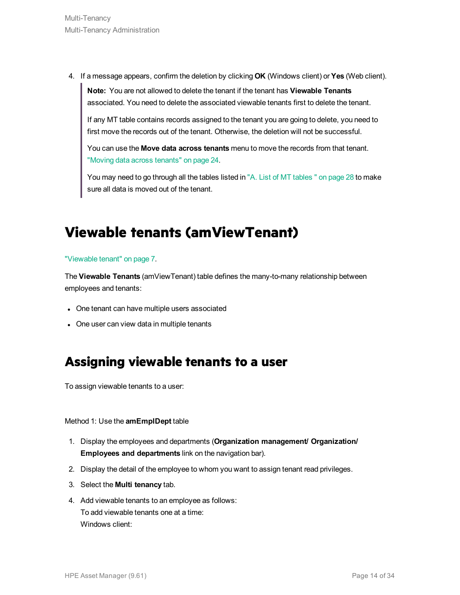4. If a message appears, confirm the deletion by clicking **OK** (Windows client) or **Yes** (Web client).

**Note:** You are not allowed to delete the tenant if the tenant has **Viewable Tenants** associated. You need to delete the associated viewable tenants first to delete the tenant.

If any MT table contains records assigned to the tenant you are going to delete, you need to first move the records out of the tenant. Otherwise, the deletion will not be successful.

You can use the **Move data across tenants** menu to move the records from that tenant. "Moving data across [tenants"](#page-23-2) on page 24.

You may need to go through all the tables listed in "A. List of MT [tables](#page-27-0) " on page 28 to make sure all data is moved out of the tenant.

# <span id="page-13-0"></span>**Viewable tenants (amViewTenant)**

#### ["Viewable](#page-6-3) tenant" on page 7.

The **Viewable Tenants** (amViewTenant) table defines the many-to-many relationship between employees and tenants:

- One tenant can have multiple users associated
- One user can view data in multiple tenants

### **Assigning viewable tenants to a user**

To assign viewable tenants to a user:

Method 1: Use the **amEmplDept** table

- 1. Display the employees and departments (**Organization management/ Organization/ Employees and departments** link on the navigation bar).
- 2. Display the detail of the employee to whom you want to assign tenant read privileges.
- 3. Select the **Multi tenancy** tab.
- 4. Add viewable tenants to an employee as follows: To add viewable tenants one at a time: Windows client: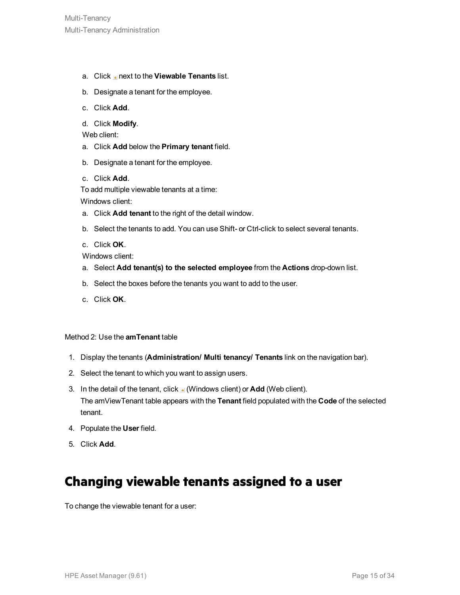- a. Click next to the **Viewable Tenants** list.
- b. Designate a tenant for the employee.
- c. Click **Add**.
- d. Click **Modify**.

Web client:

- a. Click **Add** below the **Primary tenant** field.
- b. Designate a tenant for the employee.
- c. Click **Add**.

To add multiple viewable tenants at a time:

Windows client:

- a. Click **Add tenant** to the right of the detail window.
- b. Select the tenants to add. You can use Shift- or Ctrl-click to select several tenants.
- c. Click **OK**.

Windows client:

- a. Select **Add tenant(s) to the selected employee** from the **Actions** drop-down list.
- b. Select the boxes before the tenants you want to add to the user.
- c. Click **OK**.

#### Method 2: Use the **amTenant** table

- 1. Display the tenants (**Administration/ Multi tenancy/ Tenants** link on the navigation bar).
- 2. Select the tenant to which you want to assign users.
- 3. In the detail of the tenant, click  $\blacksquare$  (Windows client) or **Add** (Web client). The amViewTenant table appears with the **Tenant** field populated with the **Code** of the selected tenant.
- 4. Populate the **User** field.
- 5. Click **Add**.

### **Changing viewable tenants assigned to a user**

To change the viewable tenant for a user: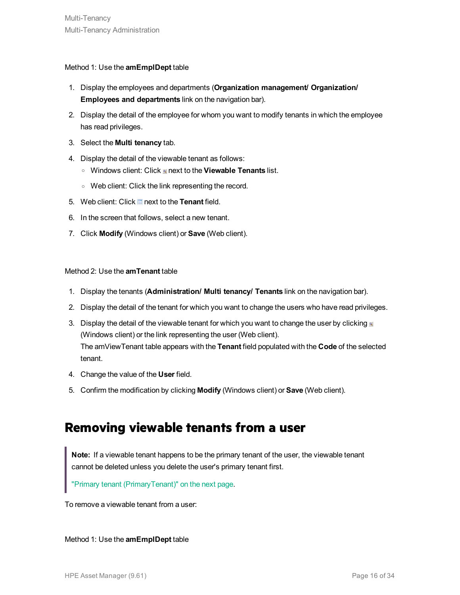#### Method 1: Use the **amEmplDept** table

- 1. Display the employees and departments (**Organization management/ Organization/ Employees and departments** link on the navigation bar).
- 2. Display the detail of the employee for whom you want to modify tenants in which the employee has read privileges.
- 3. Select the **Multi tenancy** tab.
- 4. Display the detail of the viewable tenant as follows:
	- o Windows client: Click next to the **Viewable Tenants** list.
	- <sup>o</sup> Web client: Click the link representing the record.
- 5. Web client: Click **next to the Tenant** field.
- 6. In the screen that follows, select a new tenant.
- 7. Click **Modify** (Windows client) or **Save** (Web client).

#### Method 2: Use the **amTenant** table

- 1. Display the tenants (**Administration/ Multi tenancy/ Tenants** link on the navigation bar).
- 2. Display the detail of the tenant for which you want to change the users who have read privileges.
- 3. Display the detail of the viewable tenant for which you want to change the user by clicking  $\blacksquare$ (Windows client) or the link representing the user (Web client). The amViewTenant table appears with the **Tenant** field populated with the **Code** of the selected tenant.
- 4. Change the value of the **User** field.
- 5. Confirm the modification by clicking **Modify** (Windows client) or **Save** (Web client).

#### **Removing viewable tenants from a user**

**Note:** If a viewable tenant happens to be the primary tenant of the user, the viewable tenant cannot be deleted unless you delete the user's primary tenant first.

"Primary tenant [\(PrimaryTenant\)"](#page-16-0) on the next page.

To remove a viewable tenant from a user:

Method 1: Use the **amEmplDept** table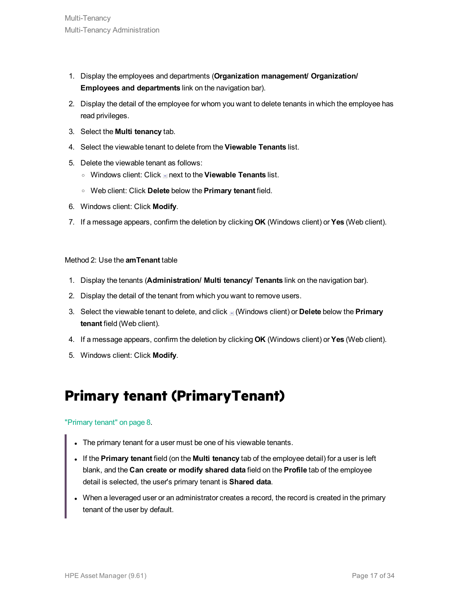- 1. Display the employees and departments (**Organization management/ Organization/ Employees and departments** link on the navigation bar).
- 2. Display the detail of the employee for whom you want to delete tenants in which the employee has read privileges.
- 3. Select the **Multi tenancy** tab.
- 4. Select the viewable tenant to delete from the **Viewable Tenants** list.
- 5. Delete the viewable tenant as follows:
	- <sup>o</sup> Windows client: Click next to the **Viewable Tenants** list.
	- <sup>o</sup> Web client: Click **Delete** below the **Primary tenant** field.
- 6. Windows client: Click **Modify**.
- 7. If a message appears, confirm the deletion by clicking **OK** (Windows client) or **Yes** (Web client).

#### Method 2: Use the **amTenant** table

- 1. Display the tenants (**Administration/ Multi tenancy/ Tenants** link on the navigation bar).
- 2. Display the detail of the tenant from which you want to remove users.
- 3. Select the viewable tenant to delete, and click (Windows client) or **Delete** below the **Primary tenant** field (Web client).
- 4. If a message appears, confirm the deletion by clicking **OK** (Windows client) or **Yes** (Web client).
- <span id="page-16-0"></span>5. Windows client: Click **Modify**.

### **Primary tenant (PrimaryTenant)**

#### ["Primary](#page-7-0) tenant" on page 8.

- The primary tenant for a user must be one of his viewable tenants.
- <sup>l</sup> If the **Primary tenant** field (on the **Multi tenancy** tab of the employee detail) for a user is left blank, and the **Can create or modify shared data** field on the **Profile** tab of the employee detail is selected, the user's primary tenant is **Shared data**.
- When a leveraged user or an administrator creates a record, the record is created in the primary tenant of the user by default.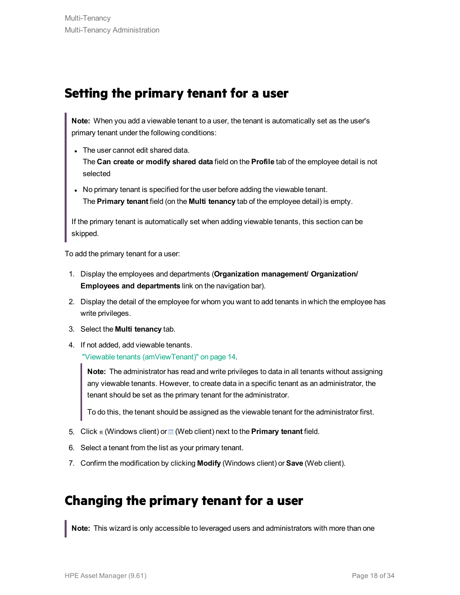### **Setting the primary tenant for a user**

**Note:** When you add a viewable tenant to a user, the tenant is automatically set as the user's primary tenant under the following conditions:

• The user cannot edit shared data.

The **Can create or modify shared data** field on the **Profile** tab of the employee detail is not selected

• No primary tenant is specified for the user before adding the viewable tenant. The **Primary tenant** field (on the **Multi tenancy** tab of the employee detail) is empty.

If the primary tenant is automatically set when adding viewable tenants, this section can be skipped.

To add the primary tenant for a user:

- 1. Display the employees and departments (**Organization management/ Organization/ Employees and departments** link on the navigation bar).
- 2. Display the detail of the employee for whom you want to add tenants in which the employee has write privileges.
- 3. Select the **Multi tenancy** tab.
- 4. If not added, add viewable tenants. "Viewable tenants [\(amViewTenant\)"](#page-13-0) on page 14.

**Note:** The administrator has read and write privileges to data in all tenants without assigning any viewable tenants. However, to create data in a specific tenant as an administrator, the tenant should be set as the primary tenant for the administrator.

To do this, the tenant should be assigned as the viewable tenant for the administrator first.

- 5. Click <sup>of</sup> (Windows client) or <sup>of</sup> (Web client) next to the **Primary tenant** field.
- 6. Select a tenant from the list as your primary tenant.
- 7. Confirm the modification by clicking **Modify** (Windows client) or **Save** (Web client).

#### **Changing the primary tenant for a user**

**Note:** This wizard is only accessible to leveraged users and administrators with more than one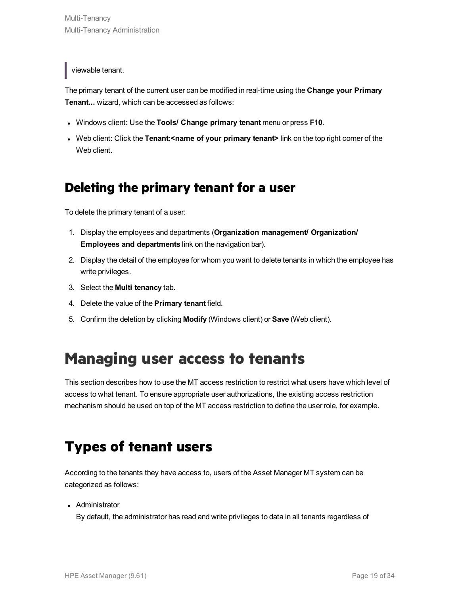viewable tenant.

The primary tenant of the current user can be modified in real-time using the **Change your Primary Tenant...** wizard, which can be accessed as follows:

- <sup>l</sup> Windows client: Use the **Tools/ Change primary tenant** menu or press **F10**.
- <sup>l</sup> Web client: Click the **Tenant:<name of your primary tenant>** link on the top right corner of the Web client.

### **Deleting the primary tenant for a user**

To delete the primary tenant of a user:

- 1. Display the employees and departments (**Organization management/ Organization/ Employees and departments** link on the navigation bar).
- 2. Display the detail of the employee for whom you want to delete tenants in which the employee has write privileges.
- 3. Select the **Multi tenancy** tab.
- 4. Delete the value of the **Primary tenant** field.
- 5. Confirm the deletion by clicking **Modify** (Windows client) or **Save** (Web client).

# <span id="page-18-0"></span>**Managing user access to tenants**

This section describes how to use the MT access restriction to restrict what users have which level of access to what tenant. To ensure appropriate user authorizations, the existing access restriction mechanism should be used on top of the MT access restriction to define the user role, for example.

# <span id="page-18-1"></span>**Types of tenant users**

According to the tenants they have access to, users of the Asset Manager MT system can be categorized as follows:

• Administrator

By default, the administrator has read and write privileges to data in all tenants regardless of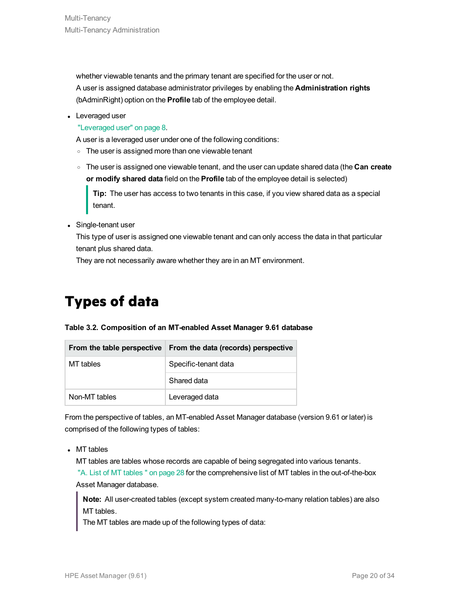whether viewable tenants and the primary tenant are specified for the user or not. A user is assigned database administrator privileges by enabling the **Administration rights** (bAdminRight) option on the **Profile** tab of the employee detail.

• Leveraged user

["Leveraged](#page-7-1) user" on page 8.

A user is a leveraged user under one of the following conditions:

- The user is assigned more than one viewable tenant
- <sup>o</sup> The user is assigned one viewable tenant, and the user can update shared data (the **Can create or modify shared data** field on the **Profile** tab of the employee detail is selected)

**Tip:** The user has access to two tenants in this case, if you view shared data as a special tenant.

• Single-tenant user

This type of user is assigned one viewable tenant and can only access the data in that particular tenant plus shared data.

<span id="page-19-0"></span>They are not necessarily aware whether they are in an MT environment.

## **Types of data**

#### **Table 3.2. Composition of an MT-enabled Asset Manager 9.61 database**

| From the table perspective | From the data (records) perspective |
|----------------------------|-------------------------------------|
| MT tables                  | Specific-tenant data                |
|                            | Shared data                         |
| Non-MT tables              | Leveraged data                      |

From the perspective of tables, an MT-enabled Asset Manager database (version 9.61 or later) is comprised of the following types of tables:

 $\bullet$  MT tables

MT tables are tables whose records are capable of being segregated into various tenants. "A. List of MT [tables](#page-27-0) " on page 28 for the comprehensive list of MT tables in the out-of-the-box Asset Manager database.

**Note:** All user-created tables (except system created many-to-many relation tables) are also MT tables.

The MT tables are made up of the following types of data: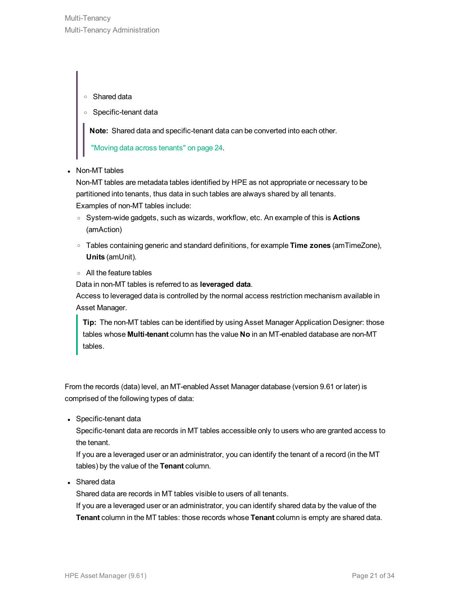#### <sup>o</sup> Shared data

<sup>o</sup> Specific-tenant data

**Note:** Shared data and specific-tenant data can be converted into each other.

"Moving data across [tenants"](#page-23-2) on page 24.

• Non-MT tables

Non-MT tables are metadata tables identified by HPE as not appropriate or necessary to be partitioned into tenants, thus data in such tables are always shared by all tenants. Examples of non-MT tables include:

- <sup>o</sup> System-wide gadgets, such as wizards, workflow, etc. An example of this is **Actions** (amAction)
- <sup>o</sup> Tables containing generic and standard definitions, for example **Time zones** (amTimeZone), **Units** (amUnit).
- <sup>o</sup> All the feature tables

Data in non-MT tables is referred to as **leveraged data**.

Access to leveraged data is controlled by the normal access restriction mechanism available in Asset Manager.

**Tip:** The non-MT tables can be identified by using Asset Manager Application Designer: those tables whose **Multi-tenant** column has the value **No** in an MT-enabled database are non-MT tables.

From the records (data) level, an MT-enabled Asset Manager database (version 9.61 or later) is comprised of the following types of data:

• Specific-tenant data

Specific-tenant data are records in MT tables accessible only to users who are granted access to the tenant.

If you are a leveraged user or an administrator, you can identify the tenant of a record (in the MT tables) by the value of the **Tenant** column.

• Shared data

Shared data are records in MT tables visible to users of all tenants.

If you are a leveraged user or an administrator, you can identify shared data by the value of the **Tenant** column in the MT tables: those records whose **Tenant** column is empty are shared data.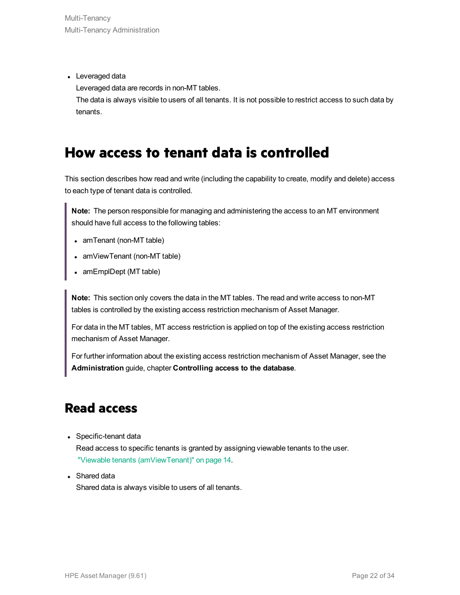• Leveraged data

Leveraged data are records in non-MT tables.

<span id="page-21-0"></span>The data is always visible to users of all tenants. It is not possible to restrict access to such data by tenants.

### **How access to tenant data is controlled**

This section describes how read and write (including the capability to create, modify and delete) access to each type of tenant data is controlled.

**Note:** The person responsible for managing and administering the access to an MT environment should have full access to the following tables:

- $\bullet$  amTenant (non-MT table)
- amViewTenant (non-MT table)
- amEmplDept (MT table)

**Note:** This section only covers the data in the MT tables. The read and write access to non-MT tables is controlled by the existing access restriction mechanism of Asset Manager.

For data in the MT tables, MT access restriction is applied on top of the existing access restriction mechanism of Asset Manager.

For further information about the existing access restriction mechanism of Asset Manager, see the **Administration** guide, chapter **Controlling access to the database**.

### **Read access**

• Specific-tenant data

Read access to specific tenants is granted by assigning viewable tenants to the user. "Viewable tenants [\(amViewTenant\)"](#page-13-0) on page 14.

• Shared data

Shared data is always visible to users of all tenants.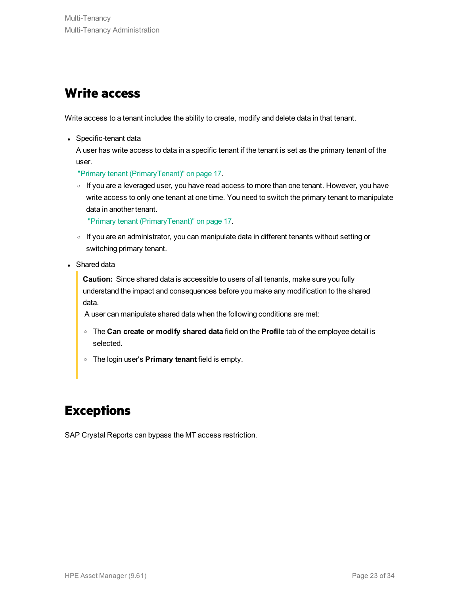### **Write access**

Write access to a tenant includes the ability to create, modify and delete data in that tenant.

• Specific-tenant data

A user has write access to data in a specific tenant if the tenant is set as the primary tenant of the user.

"Primary tenant [\(PrimaryTenant\)"](#page-16-0) on page 17.

o If you are a leveraged user, you have read access to more than one tenant. However, you have write access to only one tenant at one time. You need to switch the primary tenant to manipulate data in another tenant.

"Primary tenant [\(PrimaryTenant\)"](#page-16-0) on page 17.

- $\circ$  If you are an administrator, you can manipulate data in different tenants without setting or switching primary tenant.
- Shared data

**Caution:** Since shared data is accessible to users of all tenants, make sure you fully understand the impact and consequences before you make any modification to the shared data.

A user can manipulate shared data when the following conditions are met:

- <sup>o</sup> The **Can create or modify shared data** field on the **Profile** tab of the employee detail is selected.
- <sup>o</sup> The login user's **Primary tenant** field is empty.

## **Exceptions**

SAP Crystal Reports can bypass the MT access restriction.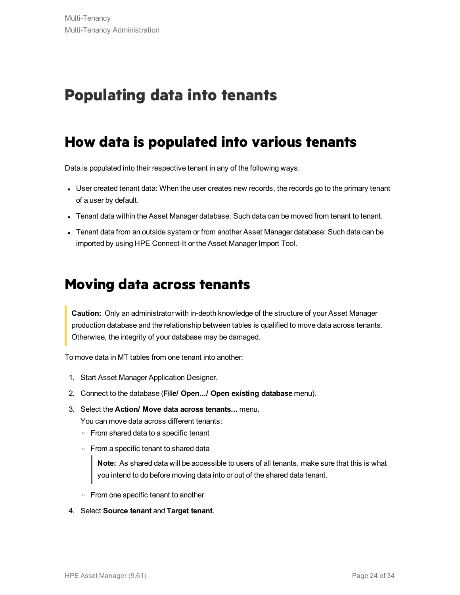# <span id="page-23-1"></span><span id="page-23-0"></span>**Populating data into tenants**

### **How data is populated into various tenants**

Data is populated into their respective tenant in any of the following ways:

- User created tenant data: When the user creates new records, the records go to the primary tenant of a user by default.
- Tenant data within the Asset Manager database: Such data can be moved from tenant to tenant.
- <span id="page-23-2"></span>• Tenant data from an outside system or from another Asset Manager database: Such data can be imported by using HPE Connect-It or the Asset Manager Import Tool.

### **Moving data across tenants**

**Caution:** Only an administrator with in-depth knowledge of the structure of your Asset Manager production database and the relationship between tables is qualified to move data across tenants. Otherwise, the integrity of your database may be damaged.

To move data in MT tables from one tenant into another:

- 1. Start Asset Manager Application Designer.
- 2. Connect to the database (**File/ Open.../ Open existing database** menu).
- 3. Select the **Action/ Move data across tenants...** menu.

You can move data across different tenants:

- <sup>o</sup> From shared data to a specific tenant
- <sup>o</sup> From a specific tenant to shared data

**Note:** As shared data will be accessible to users of all tenants, make sure that this is what you intend to do before moving data into or out of the shared data tenant.

- <sup>o</sup> From one specific tenant to another
- 4. Select **Source tenant** and **Target tenant**.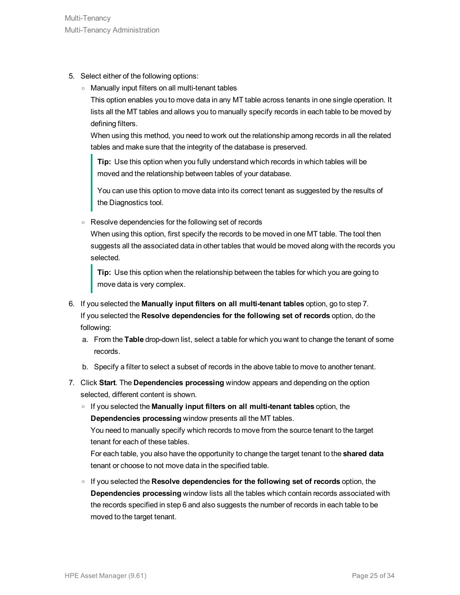- 5. Select either of the following options:
	- <sup>o</sup> Manually input filters on all multi-tenant tables

This option enables you to move data in any MT table across tenants in one single operation. It lists all the MT tables and allows you to manually specify records in each table to be moved by defining filters.

When using this method, you need to work out the relationship among records in all the related tables and make sure that the integrity of the database is preserved.

**Tip:** Use this option when you fully understand which records in which tables will be moved and the relationship between tables of your database.

You can use this option to move data into its correct tenant as suggested by the results of the Diagnostics tool.

<sup>o</sup> Resolve dependencies for the following set of records

When using this option, first specify the records to be moved in one MT table. The tool then suggests all the associated data in other tables that would be moved along with the records you selected.

**Tip:** Use this option when the relationship between the tables for which you are going to move data is very complex.

- 6. If you selected the **Manually input filters on all multi-tenant tables** option, go to step 7. If you selected the **Resolve dependencies for the following set of records** option, do the following:
	- a. From the **Table** drop-down list, select a table for which you want to change the tenant of some records.
	- b. Specify a filter to select a subset of records in the above table to move to another tenant.
- 7. Click **Start**. The **Dependencies processing** window appears and depending on the option selected, different content is shown.
	- <sup>o</sup> If you selected the **Manually input filters on all multi-tenant tables** option, the **Dependencies processing** window presents all the MT tables.

You need to manually specify which records to move from the source tenant to the target tenant for each of these tables.

For each table, you also have the opportunity to change the target tenant to the **shared data** tenant or choose to not move data in the specified table.

<sup>o</sup> If you selected the **Resolve dependencies for the following set of records** option, the **Dependencies processing** window lists all the tables which contain records associated with the records specified in step 6 and also suggests the number of records in each table to be moved to the target tenant.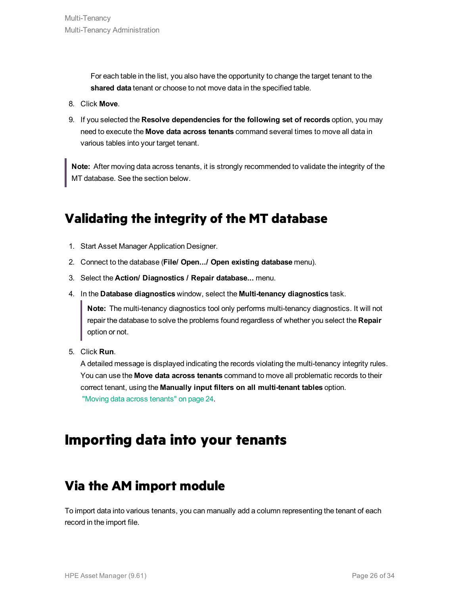For each table in the list, you also have the opportunity to change the target tenant to the **shared data** tenant or choose to not move data in the specified table.

- 8. Click **Move**.
- 9. If you selected the **Resolve dependencies for the following set of records** option, you may need to execute the **Move data across tenants** command several times to move all data in various tables into your target tenant.

**Note:** After moving data across tenants, it is strongly recommended to validate the integrity of the MT database. See the section below.

### <span id="page-25-1"></span>**Validating the integrity of the MT database**

- 1. Start Asset Manager Application Designer.
- 2. Connect to the database (**File/ Open.../ Open existing database** menu).
- 3. Select the **Action/ Diagnostics / Repair database...** menu.
- 4. In the **Database diagnostics** window, select the **Multi-tenancy diagnostics** task.

**Note:** The multi-tenancy diagnostics tool only performs multi-tenancy diagnostics. It will not repair the database to solve the problems found regardless of whether you select the **Repair** option or not.

5. Click **Run**.

A detailed message is displayed indicating the records violating the multi-tenancy integrity rules. You can use the **Move data across tenants** command to move all problematic records to their correct tenant, using the **Manually input filters on all multi-tenant tables** option. "Moving data across [tenants"](#page-23-2) on page 24.

### <span id="page-25-0"></span>**Importing data into your tenants**

### **Via the AM import module**

To import data into various tenants, you can manually add a column representing the tenant of each record in the import file.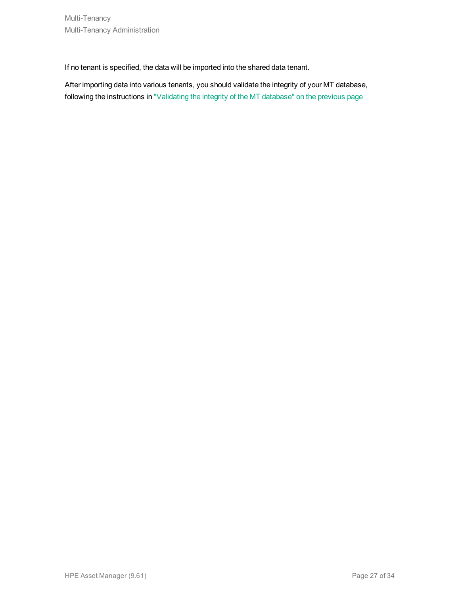If no tenant is specified, the data will be imported into the shared data tenant.

After importing data into various tenants, you should validate the integrity of your MT database, following the instructions in ["Validating](#page-25-1) the integrity of the MT database" on the previous page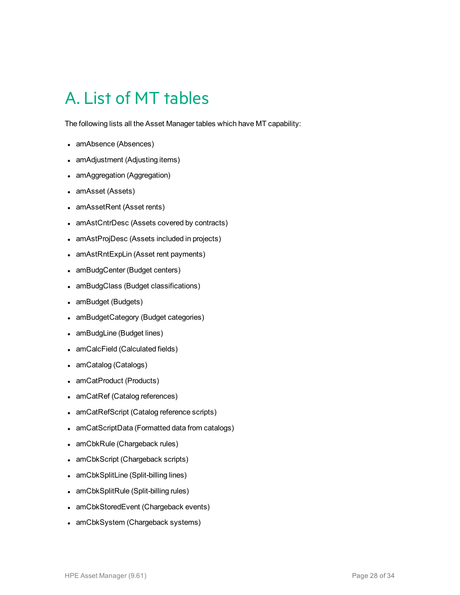# <span id="page-27-0"></span>A. List of MT tables

The following lists all the Asset Manager tables which have MT capability:

- amAbsence (Absences)
- amAdjustment (Adjusting items)
- amAggregation (Aggregation)
- amAsset (Assets)
- amAssetRent (Asset rents)
- amAstCntrDesc (Assets covered by contracts)
- amAstProjDesc (Assets included in projects)
- amAstRntExpLin (Asset rent payments)
- amBudgCenter (Budget centers)
- amBudgClass (Budget classifications)
- amBudget (Budgets)
- amBudgetCategory (Budget categories)
- amBudgLine (Budget lines)
- amCalcField (Calculated fields)
- amCatalog (Catalogs)
- amCatProduct (Products)
- amCatRef (Catalog references)
- amCatRefScript (Catalog reference scripts)
- amCatScriptData (Formatted data from catalogs)
- amCbkRule (Chargeback rules)
- amCbkScript (Chargeback scripts)
- amCbkSplitLine (Split-billing lines)
- amCbkSplitRule (Split-billing rules)
- amCbkStoredEvent (Chargeback events)
- amCbkSystem (Chargeback systems)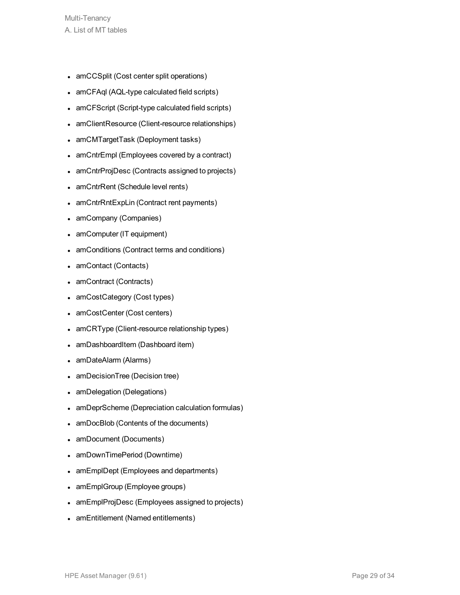- amCCSplit (Cost center split operations)
- amCFAql (AQL-type calculated field scripts)
- amCFScript (Script-type calculated field scripts)
- amClientResource (Client-resource relationships)
- amCMTargetTask (Deployment tasks)
- amCntrEmpl (Employees covered by a contract)
- amCntrProjDesc (Contracts assigned to projects)
- amCntrRent (Schedule level rents)
- amCntrRntExpLin (Contract rent payments)
- amCompany (Companies)
- amComputer (IT equipment)
- amConditions (Contract terms and conditions)
- amContact (Contacts)
- amContract (Contracts)
- amCostCategory (Cost types)
- amCostCenter (Cost centers)
- amCRType (Client-resource relationship types)
- amDashboardItem (Dashboard item)
- amDateAlarm (Alarms)
- amDecisionTree (Decision tree)
- amDelegation (Delegations)
- amDeprScheme (Depreciation calculation formulas)
- amDocBlob (Contents of the documents)
- amDocument (Documents)
- amDownTimePeriod (Downtime)
- amEmplDept (Employees and departments)
- amEmplGroup (Employee groups)
- amEmplProjDesc (Employees assigned to projects)
- amEntitlement (Named entitlements)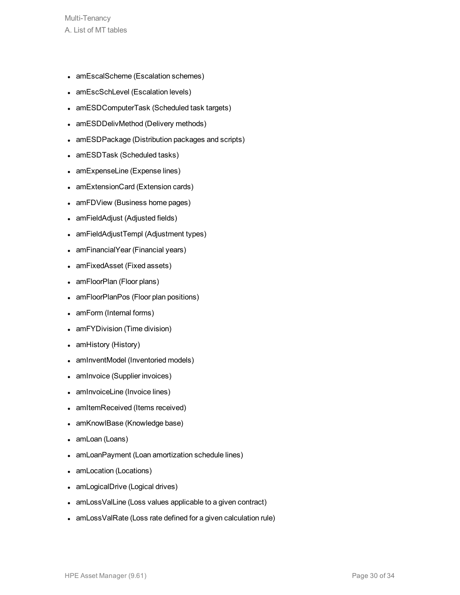- amEscalScheme (Escalation schemes)
- amEscSchLevel (Escalation levels)
- amESDComputerTask (Scheduled task targets)
- amESDDelivMethod (Delivery methods)
- amESDPackage (Distribution packages and scripts)
- amESDTask (Scheduled tasks)
- amExpenseLine (Expense lines)
- amExtensionCard (Extension cards)
- amFDView (Business home pages)
- amFieldAdjust (Adjusted fields)
- amFieldAdjustTempl (Adjustment types)
- amFinancialYear (Financial years)
- amFixedAsset (Fixed assets)
- amFloorPlan (Floor plans)
- amFloorPlanPos (Floor plan positions)
- amForm (Internal forms)
- amFYDivision (Time division)
- amHistory (History)
- amInventModel (Inventoried models)
- amInvoice (Supplier invoices)
- amInvoiceLine (Invoice lines)
- amItemReceived (Items received)
- amKnowlBase (Knowledge base)
- amLoan (Loans)
- amLoanPayment (Loan amortization schedule lines)
- amLocation (Locations)
- amLogicalDrive (Logical drives)
- amLossValLine (Loss values applicable to a given contract)
- amLossValRate (Loss rate defined for a given calculation rule)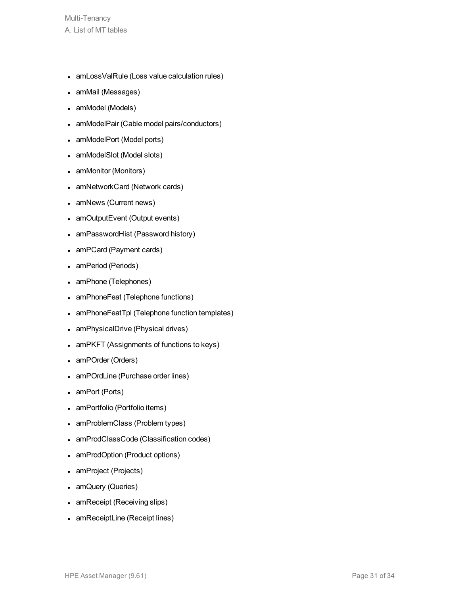- amLossValRule (Loss value calculation rules)
- amMail (Messages)
- amModel (Models)
- amModelPair (Cable model pairs/conductors)
- amModelPort (Model ports)
- amModelSlot (Model slots)
- amMonitor (Monitors)
- amNetworkCard (Network cards)
- amNews (Current news)
- amOutputEvent (Output events)
- amPasswordHist (Password history)
- amPCard (Payment cards)
- amPeriod (Periods)
- amPhone (Telephones)
- amPhoneFeat (Telephone functions)
- amPhoneFeatTpl (Telephone function templates)
- amPhysicalDrive (Physical drives)
- amPKFT (Assignments of functions to keys)
- amPOrder (Orders)
- amPOrdLine (Purchase order lines)
- amPort (Ports)
- amPortfolio (Portfolio items)
- amProblemClass (Problem types)
- amProdClassCode (Classification codes)
- amProdOption (Product options)
- amProject (Projects)
- amQuery (Queries)
- amReceipt (Receiving slips)
- amReceiptLine (Receipt lines)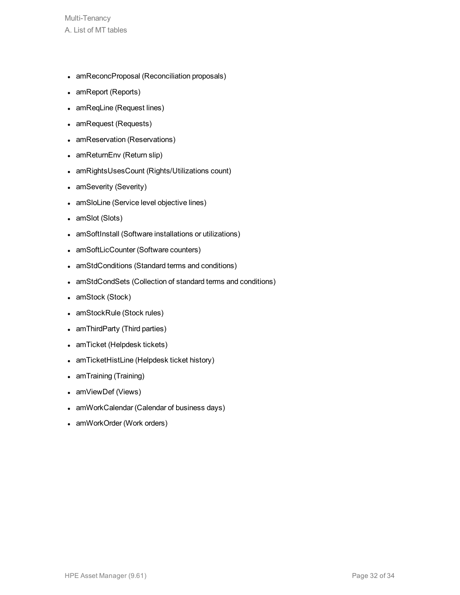- amReconcProposal (Reconciliation proposals)
- amReport (Reports)
- amReqLine (Request lines)
- amRequest (Requests)
- amReservation (Reservations)
- amReturnEnv (Return slip)
- amRightsUsesCount (Rights/Utilizations count)
- amSeverity (Severity)
- amSloLine (Service level objective lines)
- amSlot (Slots)
- amSoftInstall (Software installations or utilizations)
- amSoftLicCounter (Software counters)
- amStdConditions (Standard terms and conditions)
- amStdCondSets (Collection of standard terms and conditions)
- amStock (Stock)
- amStockRule (Stock rules)
- amThirdParty (Third parties)
- amTicket (Helpdesk tickets)
- amTicketHistLine (Helpdesk ticket history)
- amTraining (Training)
- amViewDef (Views)
- amWorkCalendar (Calendar of business days)
- amWorkOrder (Work orders)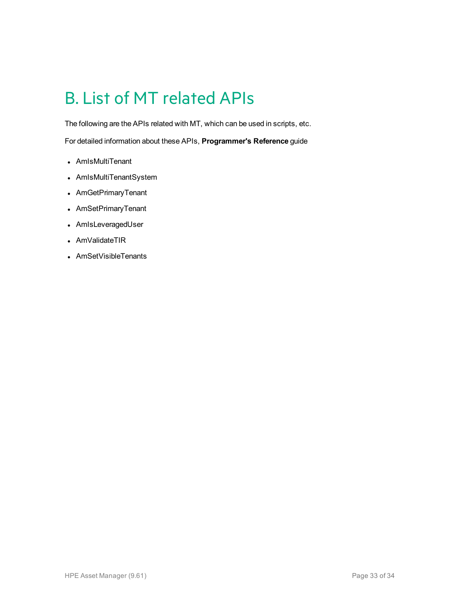# <span id="page-32-0"></span>B. List of MT related APIs

The following are the APIs related with MT, which can be used in scripts, etc.

For detailed information about these APIs, **Programmer's Reference** guide

- AmIsMultiTenant
- AmIsMultiTenantSystem
- AmGetPrimaryTenant
- AmSetPrimaryTenant
- AmIsLeveragedUser
- AmValidateTIR
- AmSetVisibleTenants